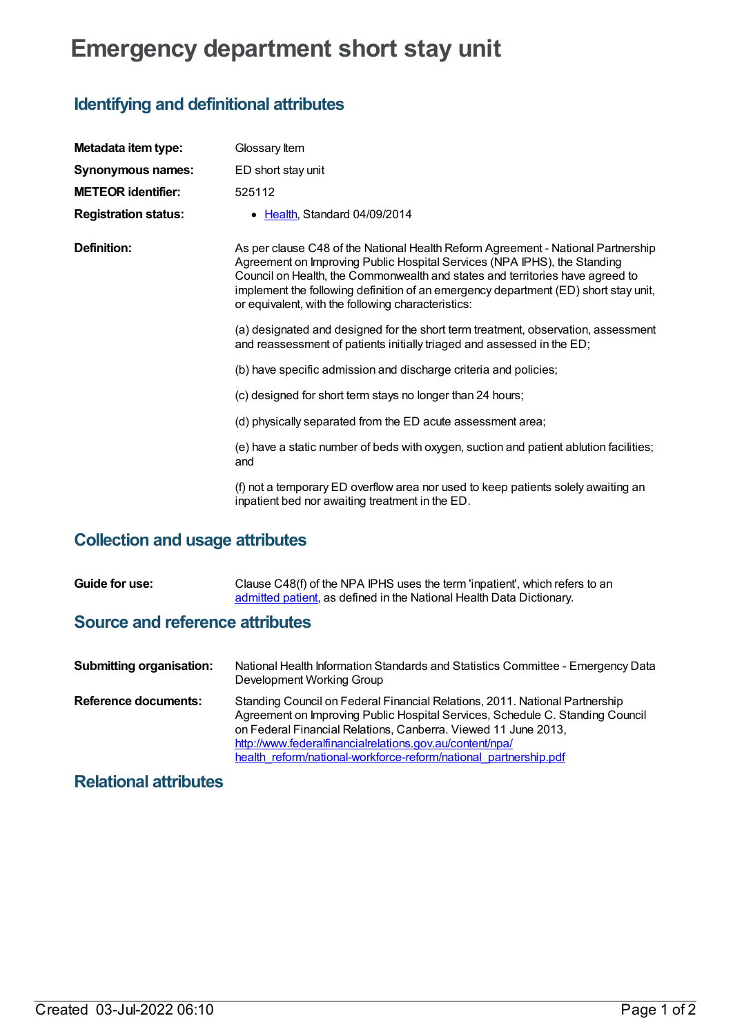# **Emergency department short stay unit**

# **Identifying and definitional attributes**

| Metadata item type:         | Glossary Item                                                                                                                                                                                                                                                                                                                                                                              |
|-----------------------------|--------------------------------------------------------------------------------------------------------------------------------------------------------------------------------------------------------------------------------------------------------------------------------------------------------------------------------------------------------------------------------------------|
| <b>Synonymous names:</b>    | ED short stay unit                                                                                                                                                                                                                                                                                                                                                                         |
| <b>METEOR identifier:</b>   | 525112                                                                                                                                                                                                                                                                                                                                                                                     |
| <b>Registration status:</b> | • Health, Standard 04/09/2014                                                                                                                                                                                                                                                                                                                                                              |
| <b>Definition:</b>          | As per clause C48 of the National Health Reform Agreement - National Partnership<br>Agreement on Improving Public Hospital Services (NPA IPHS), the Standing<br>Council on Health, the Commonwealth and states and territories have agreed to<br>implement the following definition of an emergency department (ED) short stay unit,<br>or equivalent, with the following characteristics: |
|                             | (a) designated and designed for the short term treatment, observation, assessment<br>and reassessment of patients initially triaged and assessed in the ED;                                                                                                                                                                                                                                |
|                             | (b) have specific admission and discharge criteria and policies;                                                                                                                                                                                                                                                                                                                           |
|                             | (c) designed for short term stays no longer than 24 hours;                                                                                                                                                                                                                                                                                                                                 |
|                             | (d) physically separated from the ED acute assessment area;                                                                                                                                                                                                                                                                                                                                |
|                             | (e) have a static number of beds with oxygen, suction and patient ablution facilities;<br>and                                                                                                                                                                                                                                                                                              |
|                             | (f) not a temporary ED overflow area nor used to keep patients solely awaiting an<br>inpatient bed nor awaiting treatment in the ED.                                                                                                                                                                                                                                                       |

# **Collection and usage attributes**

| Guide for use: | Clause C48(f) of the NPA IPHS uses the term 'inpatient', which refers to an |
|----------------|-----------------------------------------------------------------------------|
|                | admitted patient, as defined in the National Health Data Dictionary.        |

#### **Source and reference attributes**

| <b>Submitting organisation:</b> | National Health Information Standards and Statistics Committee - Emergency Data<br>Development Working Group                                                                                                                                                                                                                                                   |
|---------------------------------|----------------------------------------------------------------------------------------------------------------------------------------------------------------------------------------------------------------------------------------------------------------------------------------------------------------------------------------------------------------|
| Reference documents:            | Standing Council on Federal Financial Relations, 2011. National Partnership<br>Agreement on Improving Public Hospital Services, Schedule C. Standing Council<br>on Federal Financial Relations, Canberra. Viewed 11 June 2013,<br>http://www.federalfinancialrelations.gov.au/content/npa/<br>health reform/national-workforce-reform/national partnership.pdf |

### **Relational attributes**